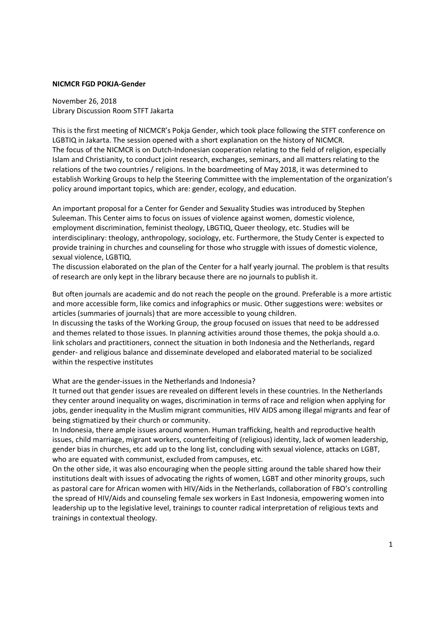## NICMCR FGD POKJA-Gender

November 26, 2018 Library Discussion Room STFT Jakarta

This is the first meeting of NICMCR's Pokja Gender, which took place following the STFT conference on LGBTIQ in Jakarta. The session opened with a short explanation on the history of NICMCR. The focus of the NICMCR is on Dutch-Indonesian cooperation relating to the field of religion, especially Islam and Christianity, to conduct joint research, exchanges, seminars, and all matters relating to the relations of the two countries / religions. In the boardmeeting of May 2018, it was determined to establish Working Groups to help the Steering Committee with the implementation of the organization's policy around important topics, which are: gender, ecology, and education.

An important proposal for a Center for Gender and Sexuality Studies was introduced by Stephen Suleeman. This Center aims to focus on issues of violence against women, domestic violence, employment discrimination, feminist theology, LBGTIQ, Queer theology, etc. Studies will be interdisciplinary: theology, anthropology, sociology, etc. Furthermore, the Study Center is expected to provide training in churches and counseling for those who struggle with issues of domestic violence, sexual violence, LGBTIQ.

The discussion elaborated on the plan of the Center for a half yearly journal. The problem is that results of research are only kept in the library because there are no journals to publish it.

But often journals are academic and do not reach the people on the ground. Preferable is a more artistic and more accessible form, like comics and infographics or music. Other suggestions were: websites or articles (summaries of journals) that are more accessible to young children.

In discussing the tasks of the Working Group, the group focused on issues that need to be addressed and themes related to those issues. In planning activities around those themes, the pokja should a.o. link scholars and practitioners, connect the situation in both Indonesia and the Netherlands, regard gender- and religious balance and disseminate developed and elaborated material to be socialized within the respective institutes

What are the gender-issues in the Netherlands and Indonesia?

It turned out that gender issues are revealed on different levels in these countries. In the Netherlands they center around inequality on wages, discrimination in terms of race and religion when applying for jobs, gender inequality in the Muslim migrant communities, HIV AIDS among illegal migrants and fear of being stigmatized by their church or community.

In Indonesia, there ample issues around women. Human trafficking, health and reproductive health issues, child marriage, migrant workers, counterfeiting of (religious) identity, lack of women leadership, gender bias in churches, etc add up to the long list, concluding with sexual violence, attacks on LGBT, who are equated with communist, excluded from campuses, etc.

On the other side, it was also encouraging when the people sitting around the table shared how their institutions dealt with issues of advocating the rights of women, LGBT and other minority groups, such as pastoral care for African women with HIV/Aids in the Netherlands, collaboration of FBO's controlling the spread of HIV/Aids and counseling female sex workers in East Indonesia, empowering women into leadership up to the legislative level, trainings to counter radical interpretation of religious texts and trainings in contextual theology.